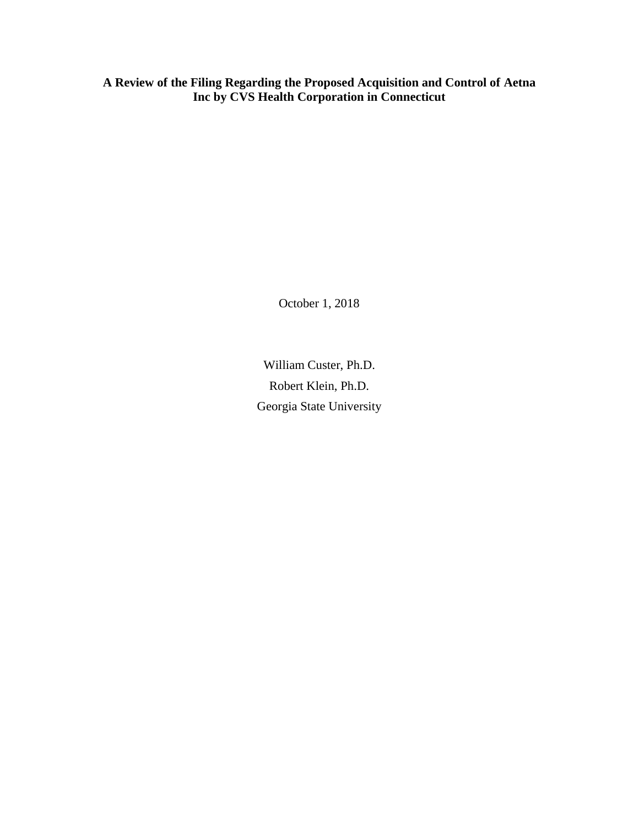**A Review of the Filing Regarding the Proposed Acquisition and Control of Aetna Inc by CVS Health Corporation in Connecticut** 

October 1, 2018

William Custer, Ph.D. Robert Klein, Ph.D. Georgia State University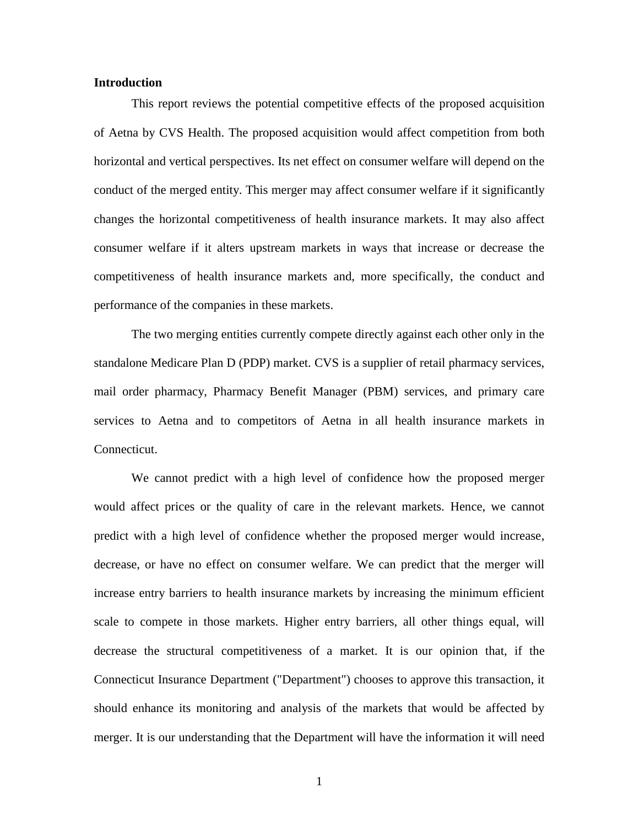### **Introduction**

This report reviews the potential competitive effects of the proposed acquisition of Aetna by CVS Health. The proposed acquisition would affect competition from both horizontal and vertical perspectives. Its net effect on consumer welfare will depend on the conduct of the merged entity. This merger may affect consumer welfare if it significantly changes the horizontal competitiveness of health insurance markets. It may also affect consumer welfare if it alters upstream markets in ways that increase or decrease the competitiveness of health insurance markets and, more specifically, the conduct and performance of the companies in these markets.

The two merging entities currently compete directly against each other only in the standalone Medicare Plan D (PDP) market. CVS is a supplier of retail pharmacy services, mail order pharmacy, Pharmacy Benefit Manager (PBM) services, and primary care services to Aetna and to competitors of Aetna in all health insurance markets in Connecticut.

We cannot predict with a high level of confidence how the proposed merger would affect prices or the quality of care in the relevant markets. Hence, we cannot predict with a high level of confidence whether the proposed merger would increase, decrease, or have no effect on consumer welfare. We can predict that the merger will increase entry barriers to health insurance markets by increasing the minimum efficient scale to compete in those markets. Higher entry barriers, all other things equal, will decrease the structural competitiveness of a market. It is our opinion that, if the Connecticut Insurance Department ("Department") chooses to approve this transaction, it should enhance its monitoring and analysis of the markets that would be affected by merger. It is our understanding that the Department will have the information it will need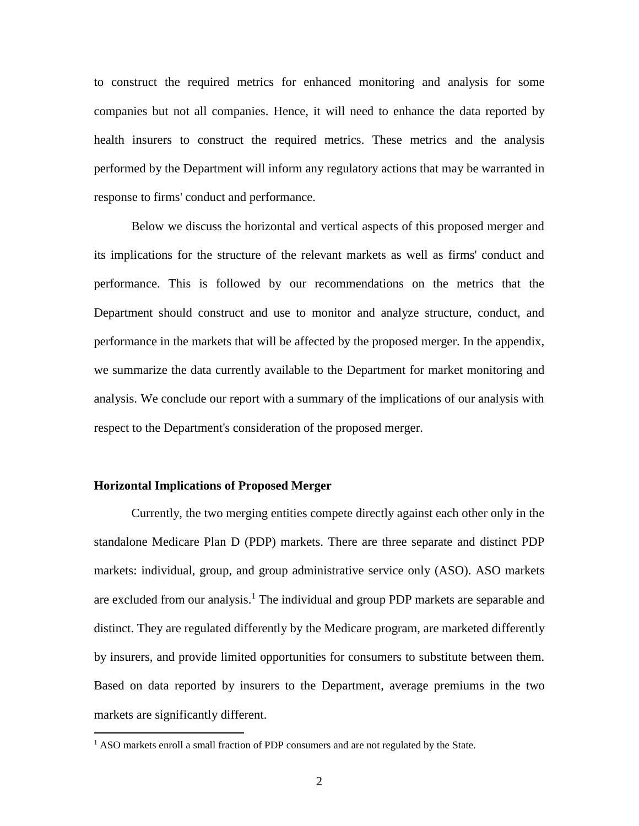to construct the required metrics for enhanced monitoring and analysis for some companies but not all companies. Hence, it will need to enhance the data reported by health insurers to construct the required metrics. These metrics and the analysis performed by the Department will inform any regulatory actions that may be warranted in response to firms' conduct and performance.

Below we discuss the horizontal and vertical aspects of this proposed merger and its implications for the structure of the relevant markets as well as firms' conduct and performance. This is followed by our recommendations on the metrics that the Department should construct and use to monitor and analyze structure, conduct, and performance in the markets that will be affected by the proposed merger. In the appendix, we summarize the data currently available to the Department for market monitoring and analysis. We conclude our report with a summary of the implications of our analysis with respect to the Department's consideration of the proposed merger.

#### **Horizontal Implications of Proposed Merger**

 $\overline{a}$ 

Currently, the two merging entities compete directly against each other only in the standalone Medicare Plan D (PDP) markets. There are three separate and distinct PDP markets: individual, group, and group administrative service only (ASO). ASO markets are excluded from our analysis. <sup>1</sup> The individual and group PDP markets are separable and distinct. They are regulated differently by the Medicare program, are marketed differently by insurers, and provide limited opportunities for consumers to substitute between them. Based on data reported by insurers to the Department, average premiums in the two markets are significantly different.

 $<sup>1</sup>$  ASO markets enroll a small fraction of PDP consumers and are not regulated by the State.</sup>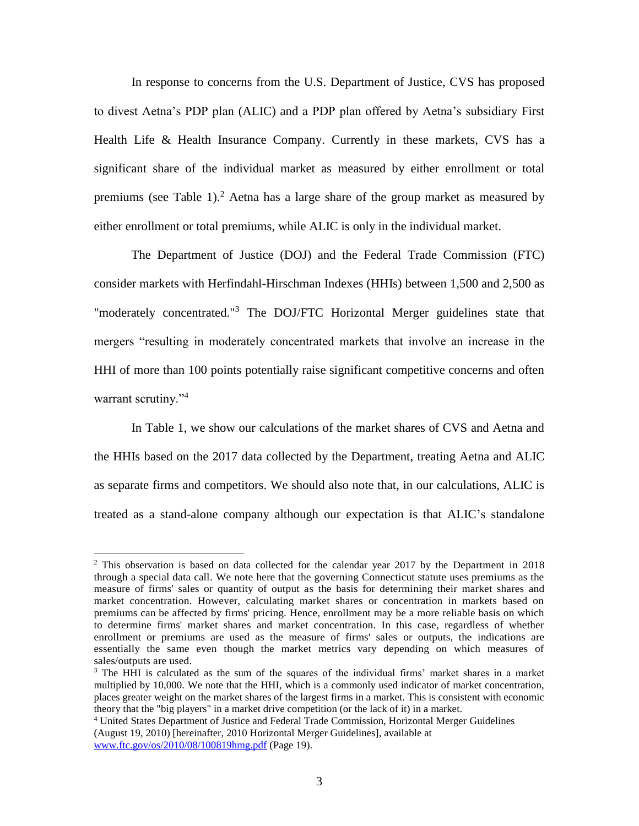In response to concerns from the U.S. Department of Justice, CVS has proposed to divest Aetna's PDP plan (ALIC) and a PDP plan offered by Aetna's subsidiary First Health Life & Health Insurance Company. Currently in these markets, CVS has a significant share of the individual market as measured by either enrollment or total premiums (see Table 1). <sup>2</sup> Aetna has a large share of the group market as measured by either enrollment or total premiums, while ALIC is only in the individual market.

The Department of Justice (DOJ) and the Federal Trade Commission (FTC) consider markets with Herfindahl-Hirschman Indexes (HHIs) between 1,500 and 2,500 as "moderately concentrated."<sup>3</sup> The DOJ/FTC Horizontal Merger guidelines state that mergers "resulting in moderately concentrated markets that involve an increase in the HHI of more than 100 points potentially raise significant competitive concerns and often warrant scrutiny."<sup>4</sup>

In Table 1, we show our calculations of the market shares of CVS and Aetna and the HHIs based on the 2017 data collected by the Department, treating Aetna and ALIC as separate firms and competitors. We should also note that, in our calculations, ALIC is treated as a stand-alone company although our expectation is that ALIC's standalone

<sup>&</sup>lt;sup>2</sup> This observation is based on data collected for the calendar year 2017 by the Department in 2018 through a special data call. We note here that the governing Connecticut statute uses premiums as the measure of firms' sales or quantity of output as the basis for determining their market shares and market concentration. However, calculating market shares or concentration in markets based on premiums can be affected by firms' pricing. Hence, enrollment may be a more reliable basis on which to determine firms' market shares and market concentration. In this case, regardless of whether enrollment or premiums are used as the measure of firms' sales or outputs, the indications are essentially the same even though the market metrics vary depending on which measures of sales/outputs are used.

 $3$  The HHI is calculated as the sum of the squares of the individual firms' market shares in a market multiplied by 10,000. We note that the HHI, which is a commonly used indicator of market concentration, places greater weight on the market shares of the largest firms in a market. This is consistent with economic theory that the "big players" in a market drive competition (or the lack of it) in a market.

<sup>4</sup> United States Department of Justice and Federal Trade Commission, Horizontal Merger Guidelines (August 19, 2010) [hereinafter, 2010 Horizontal Merger Guidelines], available at [www.ftc.gov/os/2010/08/100819hmg.pdf](http://www.ftc.gov/os/2010/08/100819hmg.pdf) (Page 19).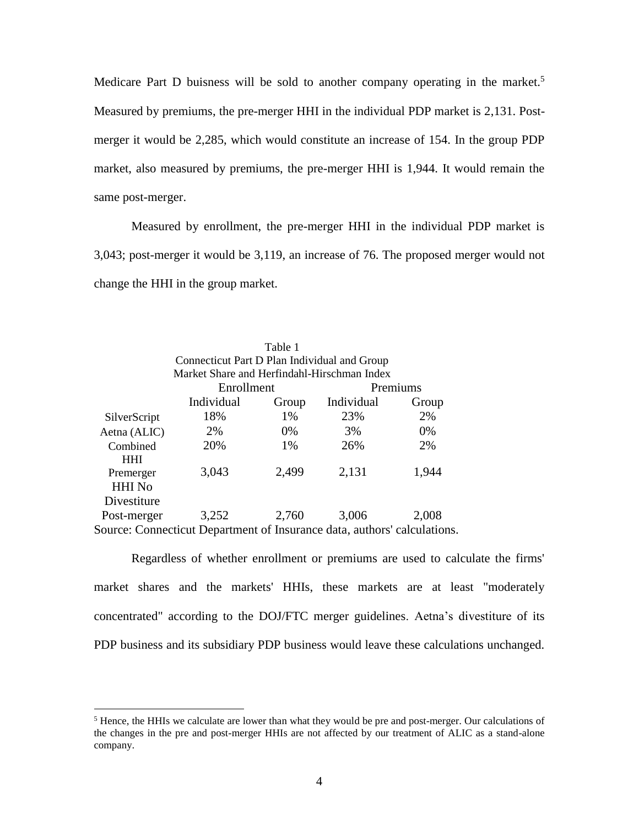Medicare Part D buisness will be sold to another company operating in the market.<sup>5</sup> Measured by premiums, the pre-merger HHI in the individual PDP market is 2,131. Postmerger it would be 2,285, which would constitute an increase of 154. In the group PDP market, also measured by premiums, the pre-merger HHI is 1,944. It would remain the same post-merger.

Measured by enrollment, the pre-merger HHI in the individual PDP market is 3,043; post-merger it would be 3,119, an increase of 76. The proposed merger would not change the HHI in the group market.

| Table 1                                                                                     |            |       |            |       |
|---------------------------------------------------------------------------------------------|------------|-------|------------|-------|
| Connecticut Part D Plan Individual and Group<br>Market Share and Herfindahl-Hirschman Index |            |       |            |       |
|                                                                                             |            |       |            |       |
|                                                                                             | Individual | Group | Individual | Group |
| SilverScript                                                                                | 18%        | 1%    | 23%        | 2%    |
| Aetna (ALIC)                                                                                | 2%         | 0%    | 3%         | 0%    |
| Combined                                                                                    | 20%        | 1%    | 26%        | 2%    |
| <b>HHI</b>                                                                                  |            |       |            |       |
| Premerger                                                                                   | 3,043      | 2,499 | 2,131      | 1,944 |
| <b>HHI</b> No                                                                               |            |       |            |       |
| Divestiture                                                                                 |            |       |            |       |
| Post-merger                                                                                 | 3,252      | 2,760 | 3,006      | 2,008 |
| Source: Connecticut Department of Insurance data, authors' calculations.                    |            |       |            |       |

Regardless of whether enrollment or premiums are used to calculate the firms' market shares and the markets' HHIs, these markets are at least "moderately concentrated" according to the DOJ/FTC merger guidelines. Aetna's divestiture of its PDP business and its subsidiary PDP business would leave these calculations unchanged.

<sup>&</sup>lt;sup>5</sup> Hence, the HHIs we calculate are lower than what they would be pre and post-merger. Our calculations of the changes in the pre and post-merger HHIs are not affected by our treatment of ALIC as a stand-alone company.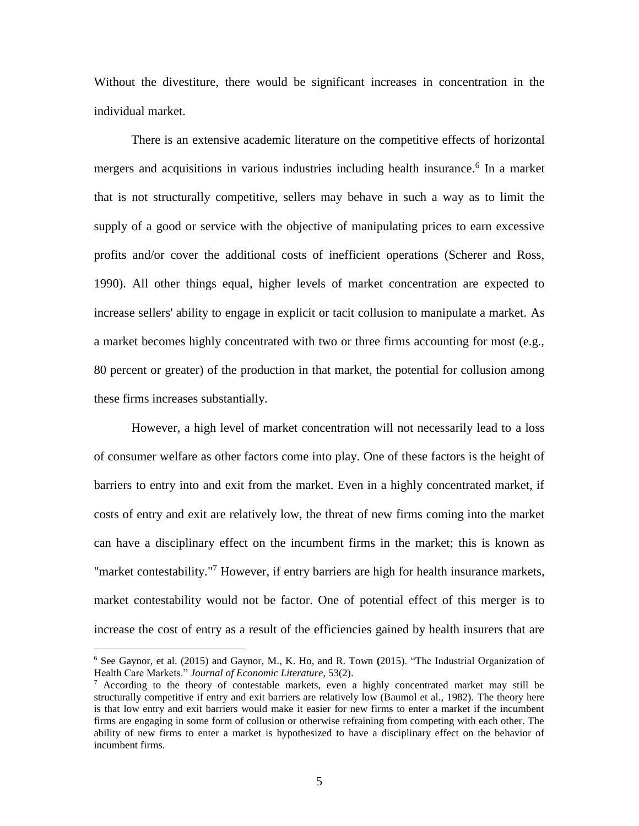Without the divestiture, there would be significant increases in concentration in the individual market.

There is an extensive academic literature on the competitive effects of horizontal mergers and acquisitions in various industries including health insurance. 6 In a market that is not structurally competitive, sellers may behave in such a way as to limit the supply of a good or service with the objective of manipulating prices to earn excessive profits and/or cover the additional costs of inefficient operations (Scherer and Ross, 1990). All other things equal, higher levels of market concentration are expected to increase sellers' ability to engage in explicit or tacit collusion to manipulate a market. As a market becomes highly concentrated with two or three firms accounting for most (e.g., 80 percent or greater) of the production in that market, the potential for collusion among these firms increases substantially.

However, a high level of market concentration will not necessarily lead to a loss of consumer welfare as other factors come into play. One of these factors is the height of barriers to entry into and exit from the market. Even in a highly concentrated market, if costs of entry and exit are relatively low, the threat of new firms coming into the market can have a disciplinary effect on the incumbent firms in the market; this is known as "market contestability."<sup>7</sup> However, if entry barriers are high for health insurance markets, market contestability would not be factor. One of potential effect of this merger is to increase the cost of entry as a result of the efficiencies gained by health insurers that are

<sup>6</sup> See Gaynor, et al. (2015) and Gaynor, M., K. Ho, and R. Town **(**2015). "The Industrial Organization of Health Care Markets." *Journal of Economic Literature*, 53(2).

 $\frac{7}{1}$  According to the theory of contestable markets, even a highly concentrated market may still be structurally competitive if entry and exit barriers are relatively low (Baumol et al., 1982). The theory here is that low entry and exit barriers would make it easier for new firms to enter a market if the incumbent firms are engaging in some form of collusion or otherwise refraining from competing with each other. The ability of new firms to enter a market is hypothesized to have a disciplinary effect on the behavior of incumbent firms.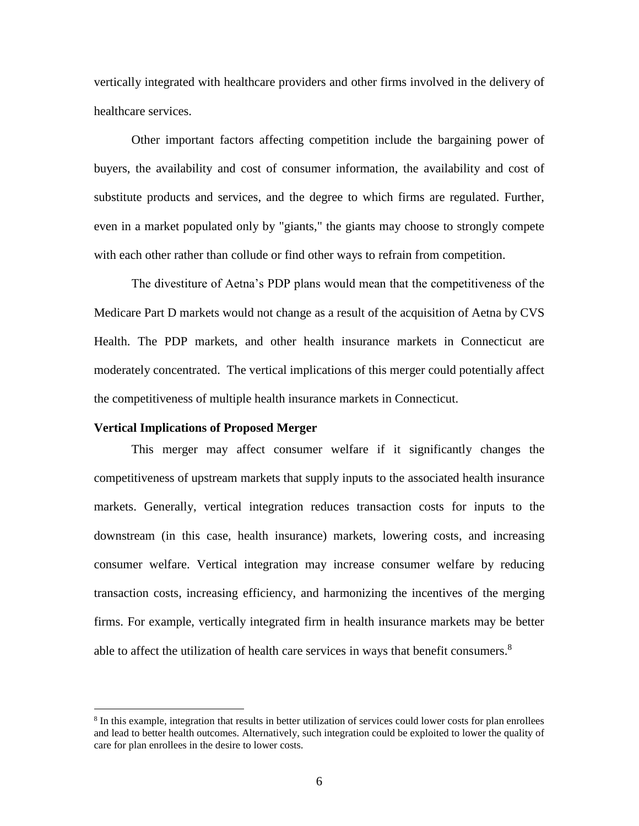vertically integrated with healthcare providers and other firms involved in the delivery of healthcare services.

Other important factors affecting competition include the bargaining power of buyers, the availability and cost of consumer information, the availability and cost of substitute products and services, and the degree to which firms are regulated. Further, even in a market populated only by "giants," the giants may choose to strongly compete with each other rather than collude or find other ways to refrain from competition.

The divestiture of Aetna's PDP plans would mean that the competitiveness of the Medicare Part D markets would not change as a result of the acquisition of Aetna by CVS Health. The PDP markets, and other health insurance markets in Connecticut are moderately concentrated. The vertical implications of this merger could potentially affect the competitiveness of multiple health insurance markets in Connecticut.

#### **Vertical Implications of Proposed Merger**

 $\overline{a}$ 

This merger may affect consumer welfare if it significantly changes the competitiveness of upstream markets that supply inputs to the associated health insurance markets. Generally, vertical integration reduces transaction costs for inputs to the downstream (in this case, health insurance) markets, lowering costs, and increasing consumer welfare. Vertical integration may increase consumer welfare by reducing transaction costs, increasing efficiency, and harmonizing the incentives of the merging firms. For example, vertically integrated firm in health insurance markets may be better able to affect the utilization of health care services in ways that benefit consumers.<sup>8</sup>

<sup>&</sup>lt;sup>8</sup> In this example, integration that results in better utilization of services could lower costs for plan enrollees and lead to better health outcomes. Alternatively, such integration could be exploited to lower the quality of care for plan enrollees in the desire to lower costs.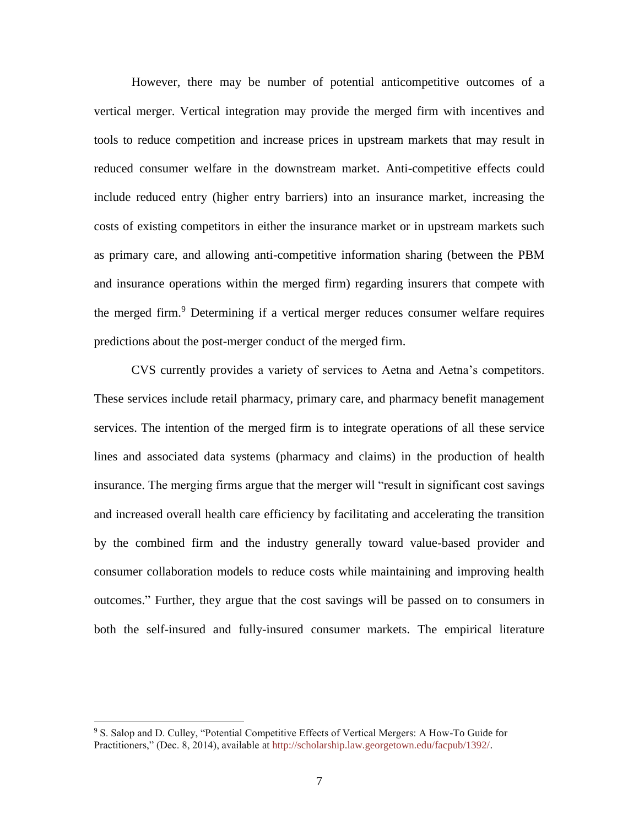However, there may be number of potential anticompetitive outcomes of a vertical merger. Vertical integration may provide the merged firm with incentives and tools to reduce competition and increase prices in upstream markets that may result in reduced consumer welfare in the downstream market. Anti-competitive effects could include reduced entry (higher entry barriers) into an insurance market, increasing the costs of existing competitors in either the insurance market or in upstream markets such as primary care, and allowing anti-competitive information sharing (between the PBM and insurance operations within the merged firm) regarding insurers that compete with the merged firm. <sup>9</sup> Determining if a vertical merger reduces consumer welfare requires predictions about the post-merger conduct of the merged firm.

CVS currently provides a variety of services to Aetna and Aetna's competitors. These services include retail pharmacy, primary care, and pharmacy benefit management services. The intention of the merged firm is to integrate operations of all these service lines and associated data systems (pharmacy and claims) in the production of health insurance. The merging firms argue that the merger will "result in significant cost savings and increased overall health care efficiency by facilitating and accelerating the transition by the combined firm and the industry generally toward value-based provider and consumer collaboration models to reduce costs while maintaining and improving health outcomes." Further, they argue that the cost savings will be passed on to consumers in both the self-insured and fully-insured consumer markets. The empirical literature

<sup>9</sup> S. Salop and D. Culley, "Potential Competitive Effects of Vertical Mergers: A How-To Guide for Practitioners," (Dec. 8, 2014), available at http://scholarship.law.georgetown.edu/facpub/1392/.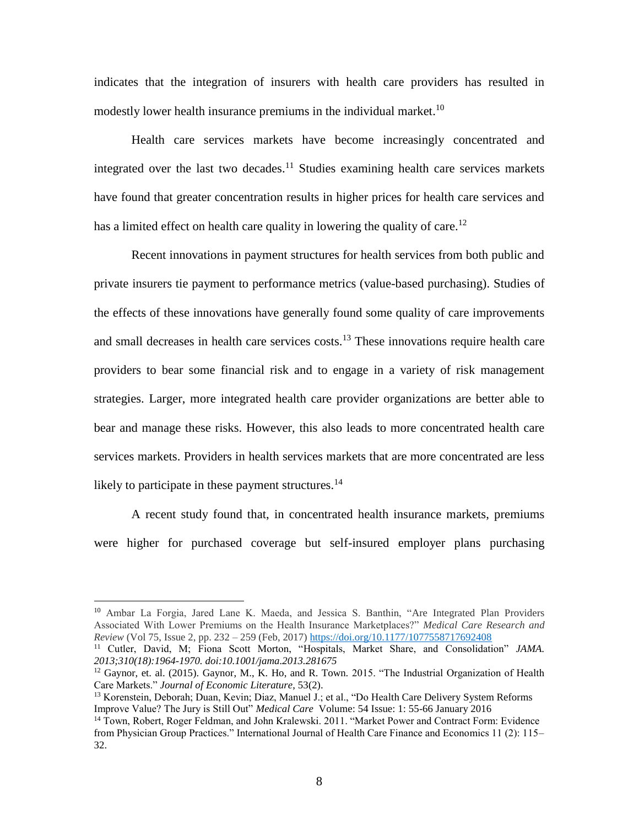indicates that the integration of insurers with health care providers has resulted in modestly lower health insurance premiums in the individual market.<sup>10</sup>

Health care services markets have become increasingly concentrated and integrated over the last two decades.<sup>11</sup> Studies examining health care services markets have found that greater concentration results in higher prices for health care services and has a limited effect on health care quality in lowering the quality of care.<sup>12</sup>

Recent innovations in payment structures for health services from both public and private insurers tie payment to performance metrics (value-based purchasing). Studies of the effects of these innovations have generally found some quality of care improvements and small decreases in health care services costs.<sup>13</sup> These innovations require health care providers to bear some financial risk and to engage in a variety of risk management strategies. Larger, more integrated health care provider organizations are better able to bear and manage these risks. However, this also leads to more concentrated health care services markets. Providers in health services markets that are more concentrated are less likely to participate in these payment structures.<sup>14</sup>

A recent study found that, in concentrated health insurance markets, premiums were higher for purchased coverage but self-insured employer plans purchasing

<sup>10</sup> Ambar La Forgia, Jared Lane K. Maeda, and Jessica S. Banthin, "Are Integrated Plan Providers Associated With Lower Premiums on the Health Insurance Marketplaces?" *Medical Care Research and Review* (Vol 75, Issue 2, pp. 232 – 259 (Feb, 2017) [https://doi.org/10.1177/1077558717692408](https://doi.org/10.1177%2F1077558717692408)

<sup>11</sup> Cutler, David, M; Fiona Scott Morton, "Hospitals, Market Share, and Consolidation" *JAMA. 2013;310(18):1964-1970. doi:10.1001/jama.2013.281675*

 $12$  Gaynor, et. al. (2015). Gaynor, M., K. Ho, and R. Town. 2015. "The Industrial Organization of Health Care Markets." *Journal of Economic Literature*, 53(2).

<sup>13</sup> Korenstein, Deborah; Duan, Kevin; Diaz, Manuel J.; et al., "Do Health Care Delivery System Reforms Improve Value? The Jury is Still Out" *[Medical Care](javascript:;)* Volume: 54 Issue: 1: 55-66 January 2016

<sup>14</sup> Town, Robert, Roger Feldman, and John Kralewski. 2011. "Market Power and Contract Form: Evidence from Physician Group Practices." International Journal of Health Care Finance and Economics 11 (2): 115– 32.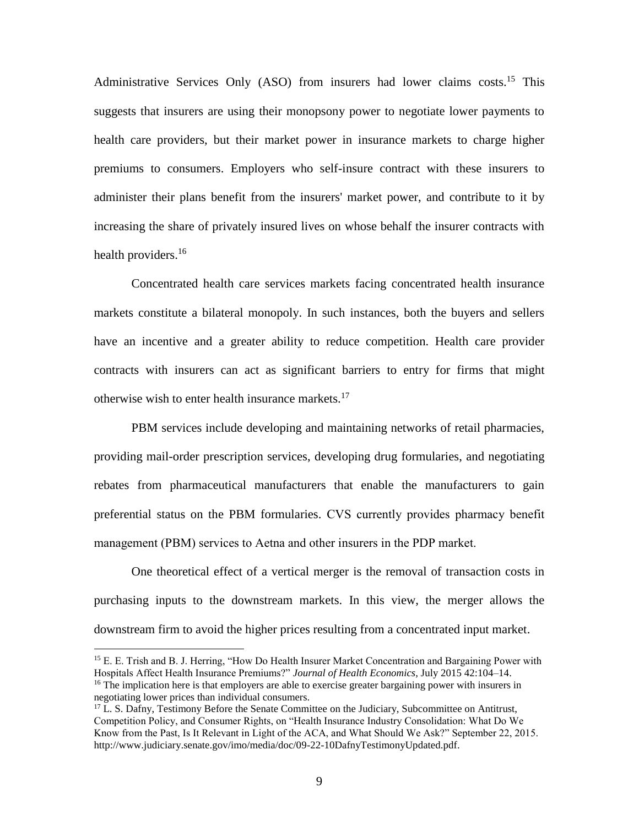Administrative Services Only (ASO) from insurers had lower claims costs.<sup>15</sup> This suggests that insurers are using their monopsony power to negotiate lower payments to health care providers, but their market power in insurance markets to charge higher premiums to consumers. Employers who self-insure contract with these insurers to administer their plans benefit from the insurers' market power, and contribute to it by increasing the share of privately insured lives on whose behalf the insurer contracts with health providers.<sup>16</sup>

Concentrated health care services markets facing concentrated health insurance markets constitute a bilateral monopoly. In such instances, both the buyers and sellers have an incentive and a greater ability to reduce competition. Health care provider contracts with insurers can act as significant barriers to entry for firms that might otherwise wish to enter health insurance markets.<sup>17</sup>

PBM services include developing and maintaining networks of retail pharmacies, providing mail-order prescription services, developing drug formularies, and negotiating rebates from pharmaceutical manufacturers that enable the manufacturers to gain preferential status on the PBM formularies. CVS currently provides pharmacy benefit management (PBM) services to Aetna and other insurers in the PDP market.

One theoretical effect of a vertical merger is the removal of transaction costs in purchasing inputs to the downstream markets. In this view, the merger allows the downstream firm to avoid the higher prices resulting from a concentrated input market.

<sup>15</sup> E. E. Trish and B. J. Herring, "How Do Health Insurer Market Concentration and Bargaining Power with Hospitals Affect Health Insurance Premiums?" *Journal of Health Economics,* July 2015 42:104–14. <sup>16</sup> The implication here is that employers are able to exercise greater bargaining power with insurers in negotiating lower prices than individual consumers.

 $17$  L. S. Dafny, Testimony Before the Senate Committee on the Judiciary, Subcommittee on Antitrust, Competition Policy, and Consumer Rights, on "Health Insurance Industry Consolidation: What Do We Know from the Past, Is It Relevant in Light of the ACA, and What Should We Ask?" September 22, 2015. http://www.judiciary.senate.gov/imo/media/doc/09-22-10DafnyTestimonyUpdated.pdf.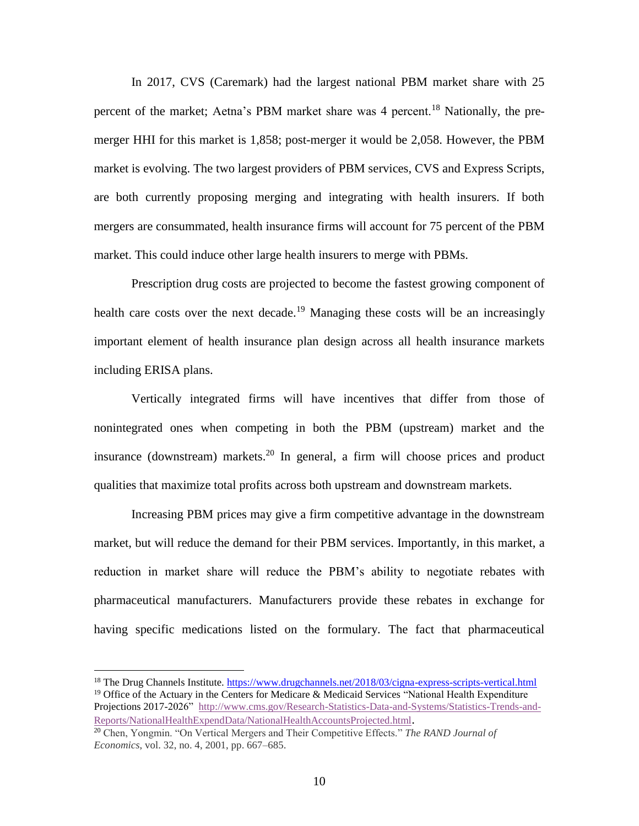In 2017, CVS (Caremark) had the largest national PBM market share with 25 percent of the market; Aetna's PBM market share was 4 percent.<sup>18</sup> Nationally, the premerger HHI for this market is 1,858; post-merger it would be 2,058. However, the PBM market is evolving. The two largest providers of PBM services, CVS and Express Scripts, are both currently proposing merging and integrating with health insurers. If both mergers are consummated, health insurance firms will account for 75 percent of the PBM market. This could induce other large health insurers to merge with PBMs.

Prescription drug costs are projected to become the fastest growing component of health care costs over the next decade.<sup>19</sup> Managing these costs will be an increasingly important element of health insurance plan design across all health insurance markets including ERISA plans.

Vertically integrated firms will have incentives that differ from those of nonintegrated ones when competing in both the PBM (upstream) market and the insurance (downstream) markets. <sup>20</sup> In general, a firm will choose prices and product qualities that maximize total profits across both upstream and downstream markets.

Increasing PBM prices may give a firm competitive advantage in the downstream market, but will reduce the demand for their PBM services. Importantly, in this market, a reduction in market share will reduce the PBM's ability to negotiate rebates with pharmaceutical manufacturers. Manufacturers provide these rebates in exchange for having specific medications listed on the formulary. The fact that pharmaceutical

<sup>&</sup>lt;sup>18</sup> The Drug Channels Institute.<https://www.drugchannels.net/2018/03/cigna-express-scripts-vertical.html> <sup>19</sup> Office of the Actuary in the Centers for Medicare & Medicaid Services "National Health Expenditure Projections 2017-2026" [http://www.cms.gov/Research-Statistics-Data-and-Systems/Statistics-Trends-and-](http://www.cms.gov/Research-Statistics-Data-and-Systems/Statistics-Trends-and-Reports/NationalHealthExpendData/NationalHealthAccountsProjected.html)[Reports/NationalHealthExpendData/NationalHealthAccountsProjected.html](http://www.cms.gov/Research-Statistics-Data-and-Systems/Statistics-Trends-and-Reports/NationalHealthExpendData/NationalHealthAccountsProjected.html).

<sup>20</sup> Chen, Yongmin. "On Vertical Mergers and Their Competitive Effects." *The RAND Journal of Economics*, vol. 32, no. 4, 2001, pp. 667–685.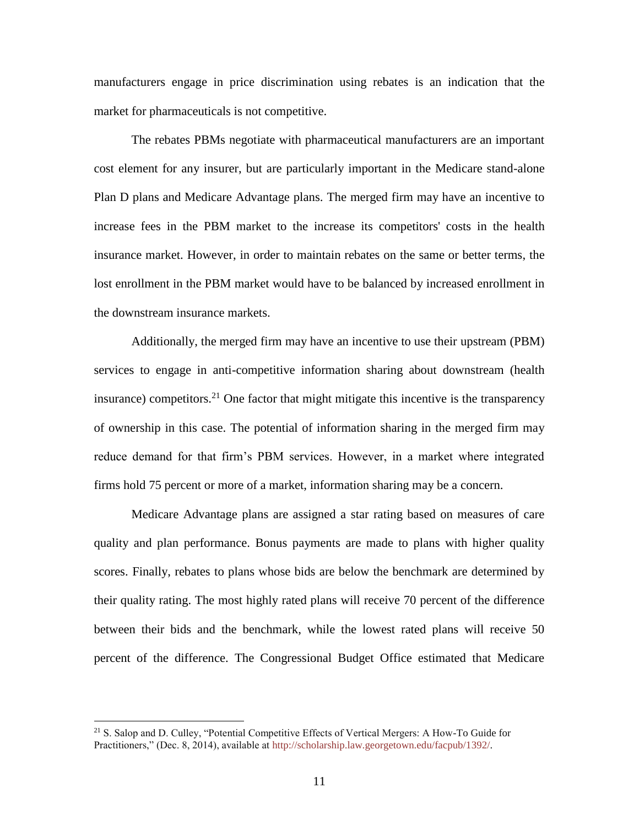manufacturers engage in price discrimination using rebates is an indication that the market for pharmaceuticals is not competitive.

The rebates PBMs negotiate with pharmaceutical manufacturers are an important cost element for any insurer, but are particularly important in the Medicare stand-alone Plan D plans and Medicare Advantage plans. The merged firm may have an incentive to increase fees in the PBM market to the increase its competitors' costs in the health insurance market. However, in order to maintain rebates on the same or better terms, the lost enrollment in the PBM market would have to be balanced by increased enrollment in the downstream insurance markets.

Additionally, the merged firm may have an incentive to use their upstream (PBM) services to engage in anti-competitive information sharing about downstream (health insurance) competitors.<sup>21</sup> One factor that might mitigate this incentive is the transparency of ownership in this case. The potential of information sharing in the merged firm may reduce demand for that firm's PBM services. However, in a market where integrated firms hold 75 percent or more of a market, information sharing may be a concern.

Medicare Advantage plans are assigned a star rating based on measures of care quality and plan performance. Bonus payments are made to plans with higher quality scores. Finally, rebates to plans whose bids are below the benchmark are determined by their quality rating. The most highly rated plans will receive 70 percent of the difference between their bids and the benchmark, while the lowest rated plans will receive 50 percent of the difference. The Congressional Budget Office estimated that Medicare

<sup>21</sup> S. Salop and D. Culley, "Potential Competitive Effects of Vertical Mergers: A How-To Guide for Practitioners," (Dec. 8, 2014), available at http://scholarship.law.georgetown.edu/facpub/1392/.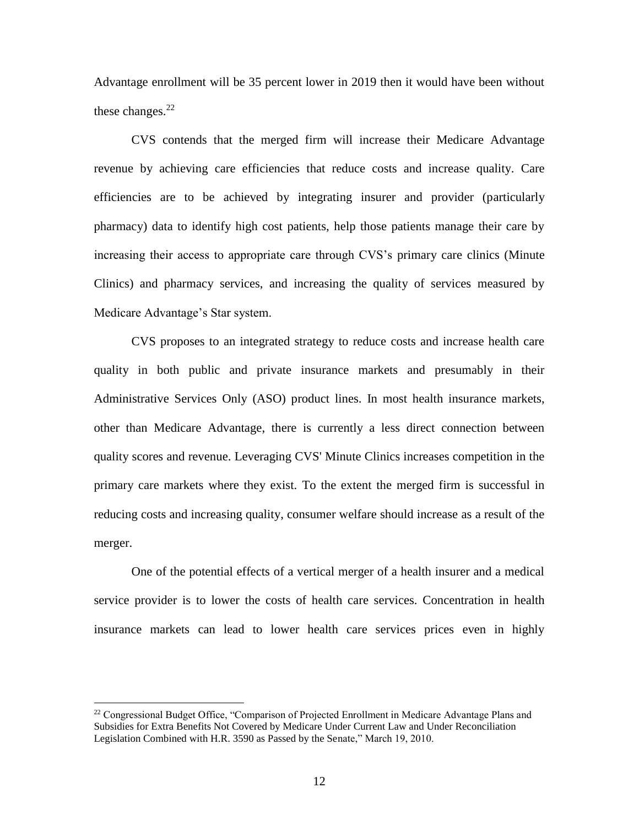Advantage enrollment will be 35 percent lower in 2019 then it would have been without these changes. $^{22}$ 

CVS contends that the merged firm will increase their Medicare Advantage revenue by achieving care efficiencies that reduce costs and increase quality. Care efficiencies are to be achieved by integrating insurer and provider (particularly pharmacy) data to identify high cost patients, help those patients manage their care by increasing their access to appropriate care through CVS's primary care clinics (Minute Clinics) and pharmacy services, and increasing the quality of services measured by Medicare Advantage's Star system.

CVS proposes to an integrated strategy to reduce costs and increase health care quality in both public and private insurance markets and presumably in their Administrative Services Only (ASO) product lines. In most health insurance markets, other than Medicare Advantage, there is currently a less direct connection between quality scores and revenue. Leveraging CVS' Minute Clinics increases competition in the primary care markets where they exist. To the extent the merged firm is successful in reducing costs and increasing quality, consumer welfare should increase as a result of the merger.

One of the potential effects of a vertical merger of a health insurer and a medical service provider is to lower the costs of health care services. Concentration in health insurance markets can lead to lower health care services prices even in highly

<sup>&</sup>lt;sup>22</sup> Congressional Budget Office, "Comparison of Projected Enrollment in Medicare Advantage Plans and Subsidies for Extra Benefits Not Covered by Medicare Under Current Law and Under Reconciliation Legislation Combined with H.R. 3590 as Passed by the Senate," March 19, 2010.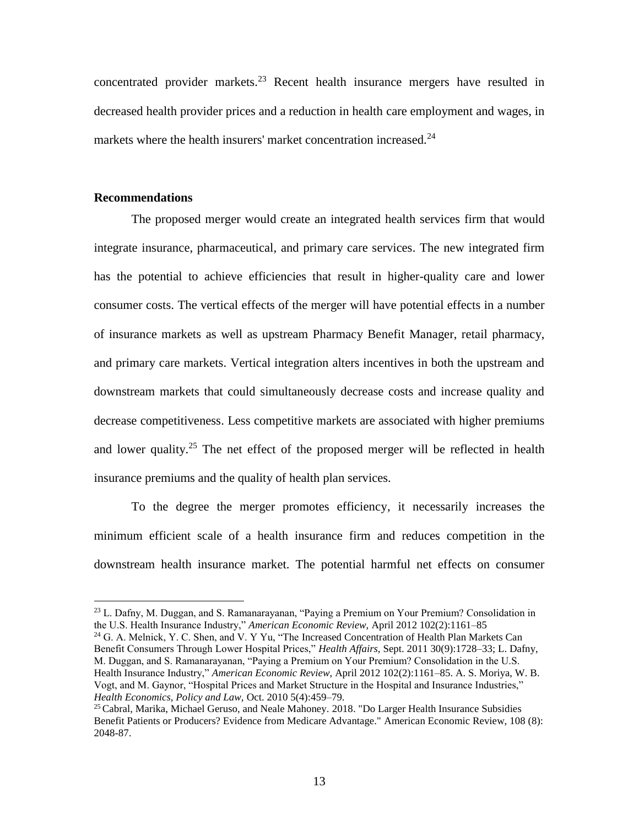concentrated provider markets. <sup>23</sup> Recent health insurance mergers have resulted in decreased health provider prices and a reduction in health care employment and wages, in markets where the health insurers' market concentration increased. $^{24}$ 

#### **Recommendations**

 $\overline{a}$ 

The proposed merger would create an integrated health services firm that would integrate insurance, pharmaceutical, and primary care services. The new integrated firm has the potential to achieve efficiencies that result in higher-quality care and lower consumer costs. The vertical effects of the merger will have potential effects in a number of insurance markets as well as upstream Pharmacy Benefit Manager, retail pharmacy, and primary care markets. Vertical integration alters incentives in both the upstream and downstream markets that could simultaneously decrease costs and increase quality and decrease competitiveness. Less competitive markets are associated with higher premiums and lower quality.<sup>25</sup> The net effect of the proposed merger will be reflected in health insurance premiums and the quality of health plan services.

To the degree the merger promotes efficiency, it necessarily increases the minimum efficient scale of a health insurance firm and reduces competition in the downstream health insurance market. The potential harmful net effects on consumer

<sup>24</sup> G. A. Melnick, Y. C. Shen, and V. Y Yu, "The Increased Concentration of Health Plan Markets Can Benefit Consumers Through Lower Hospital Prices," *Health Affairs,* Sept. 2011 30(9):1728–33; L. Dafny, M. Duggan, and S. Ramanarayanan, "Paying a Premium on Your Premium? Consolidation in the U.S. Health Insurance Industry," *American Economic Review,* April 2012 102(2):1161–85. A. S. Moriya, W. B. Vogt, and M. Gaynor, "Hospital Prices and Market Structure in the Hospital and Insurance Industries," *Health Economics, Policy and Law,* Oct. 2010 5(4):459–79.

<sup>&</sup>lt;sup>23</sup> L. Dafny, M. Duggan, and S. Ramanarayanan, "Paying a Premium on Your Premium? Consolidation in the U.S. Health Insurance Industry," *American Economic Review,* April 2012 102(2):1161–85

<sup>&</sup>lt;sup>25</sup> Cabral, Marika, Michael Geruso, and Neale Mahoney. 2018. "Do Larger Health Insurance Subsidies Benefit Patients or Producers? Evidence from Medicare Advantage." American Economic Review, 108 (8): 2048-87.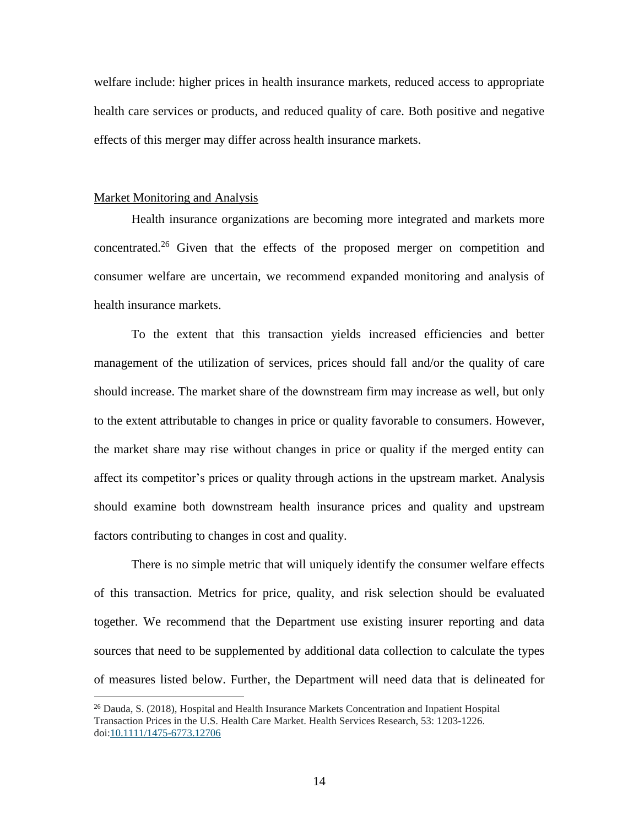welfare include: higher prices in health insurance markets, reduced access to appropriate health care services or products, and reduced quality of care. Both positive and negative effects of this merger may differ across health insurance markets.

#### Market Monitoring and Analysis

 $\overline{a}$ 

Health insurance organizations are becoming more integrated and markets more concentrated.<sup>26</sup> Given that the effects of the proposed merger on competition and consumer welfare are uncertain, we recommend expanded monitoring and analysis of health insurance markets.

To the extent that this transaction yields increased efficiencies and better management of the utilization of services, prices should fall and/or the quality of care should increase. The market share of the downstream firm may increase as well, but only to the extent attributable to changes in price or quality favorable to consumers. However, the market share may rise without changes in price or quality if the merged entity can affect its competitor's prices or quality through actions in the upstream market. Analysis should examine both downstream health insurance prices and quality and upstream factors contributing to changes in cost and quality.

There is no simple metric that will uniquely identify the consumer welfare effects of this transaction. Metrics for price, quality, and risk selection should be evaluated together. We recommend that the Department use existing insurer reporting and data sources that need to be supplemented by additional data collection to calculate the types of measures listed below. Further, the Department will need data that is delineated for

 $26$  Dauda, S. (2018), Hospital and Health Insurance Markets Concentration and Inpatient Hospital Transaction Prices in the U.S. Health Care Market. Health Services Research, 53: 1203-1226. doi[:10.1111/1475-6773.12706](https://doi.org/10.1111/1475-6773.12706)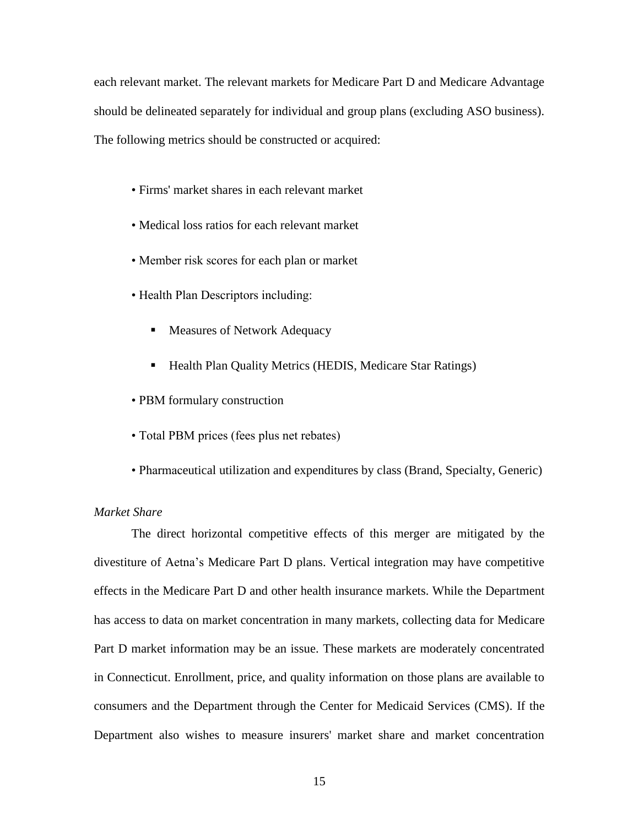each relevant market. The relevant markets for Medicare Part D and Medicare Advantage should be delineated separately for individual and group plans (excluding ASO business). The following metrics should be constructed or acquired:

- Firms' market shares in each relevant market
- Medical loss ratios for each relevant market
- Member risk scores for each plan or market
- Health Plan Descriptors including:
	- **Measures of Network Adequacy**
	- Health Plan Quality Metrics (HEDIS, Medicare Star Ratings)
- PBM formulary construction
- Total PBM prices (fees plus net rebates)
- Pharmaceutical utilization and expenditures by class (Brand, Specialty, Generic)

# *Market Share*

The direct horizontal competitive effects of this merger are mitigated by the divestiture of Aetna's Medicare Part D plans. Vertical integration may have competitive effects in the Medicare Part D and other health insurance markets. While the Department has access to data on market concentration in many markets, collecting data for Medicare Part D market information may be an issue. These markets are moderately concentrated in Connecticut. Enrollment, price, and quality information on those plans are available to consumers and the Department through the Center for Medicaid Services (CMS). If the Department also wishes to measure insurers' market share and market concentration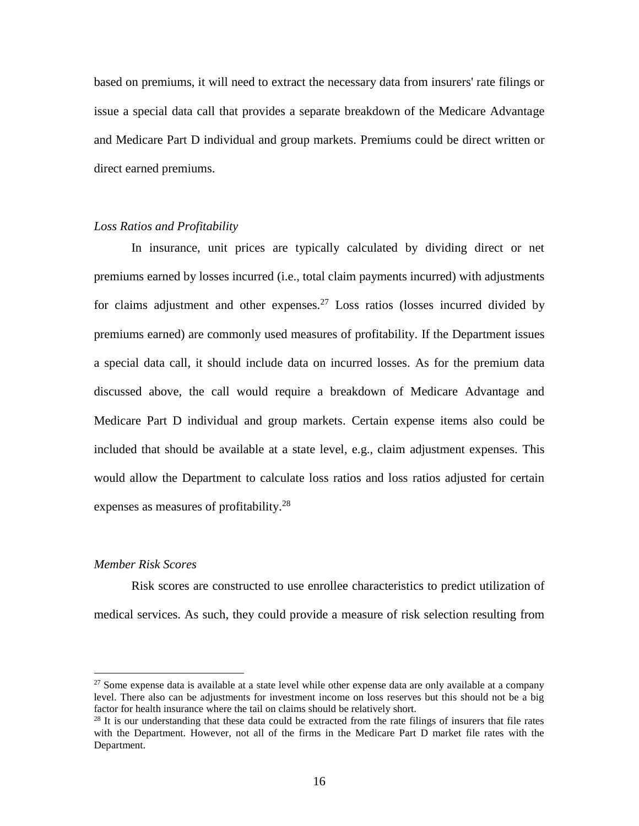based on premiums, it will need to extract the necessary data from insurers' rate filings or issue a special data call that provides a separate breakdown of the Medicare Advantage and Medicare Part D individual and group markets. Premiums could be direct written or direct earned premiums.

#### *Loss Ratios and Profitability*

In insurance, unit prices are typically calculated by dividing direct or net premiums earned by losses incurred (i.e., total claim payments incurred) with adjustments for claims adjustment and other expenses.<sup>27</sup> Loss ratios (losses incurred divided by premiums earned) are commonly used measures of profitability. If the Department issues a special data call, it should include data on incurred losses. As for the premium data discussed above, the call would require a breakdown of Medicare Advantage and Medicare Part D individual and group markets. Certain expense items also could be included that should be available at a state level, e.g., claim adjustment expenses. This would allow the Department to calculate loss ratios and loss ratios adjusted for certain expenses as measures of profitability.<sup>28</sup>

#### *Member Risk Scores*

 $\overline{a}$ 

Risk scores are constructed to use enrollee characteristics to predict utilization of medical services. As such, they could provide a measure of risk selection resulting from

<sup>&</sup>lt;sup>27</sup> Some expense data is available at a state level while other expense data are only available at a company level. There also can be adjustments for investment income on loss reserves but this should not be a big factor for health insurance where the tail on claims should be relatively short.

 $28$  It is our understanding that these data could be extracted from the rate filings of insurers that file rates with the Department. However, not all of the firms in the Medicare Part D market file rates with the Department.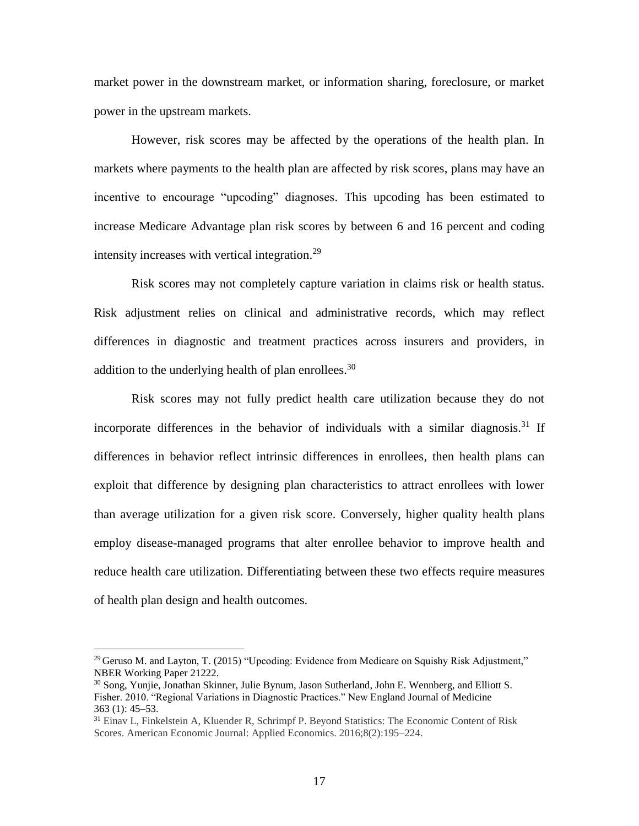market power in the downstream market, or information sharing, foreclosure, or market power in the upstream markets.

However, risk scores may be affected by the operations of the health plan. In markets where payments to the health plan are affected by risk scores, plans may have an incentive to encourage "upcoding" diagnoses. This upcoding has been estimated to increase Medicare Advantage plan risk scores by between 6 and 16 percent and coding intensity increases with vertical integration. 29

Risk scores may not completely capture variation in claims risk or health status. Risk adjustment relies on clinical and administrative records, which may reflect differences in diagnostic and treatment practices across insurers and providers, in addition to the underlying health of plan enrollees.<sup>30</sup>

Risk scores may not fully predict health care utilization because they do not incorporate differences in the behavior of individuals with a similar diagnosis. <sup>31</sup> If differences in behavior reflect intrinsic differences in enrollees, then health plans can exploit that difference by designing plan characteristics to attract enrollees with lower than average utilization for a given risk score. Conversely, higher quality health plans employ disease-managed programs that alter enrollee behavior to improve health and reduce health care utilization. Differentiating between these two effects require measures of health plan design and health outcomes.

<sup>&</sup>lt;sup>29</sup> Geruso M. and Layton, T. (2015) "Upcoding: Evidence from Medicare on Squishy Risk Adjustment." NBER Working Paper 21222.

<sup>&</sup>lt;sup>30</sup> Song, Yunjie, Jonathan Skinner, Julie Bynum, Jason Sutherland, John E. Wennberg, and Elliott S. Fisher. 2010. "Regional Variations in Diagnostic Practices." New England Journal of Medicine 363 (1): 45–53.

<sup>31</sup> Einav L, Finkelstein A, Kluender R, Schrimpf P. Beyond Statistics: The Economic Content of Risk Scores. American Economic Journal: Applied Economics. 2016;8(2):195–224.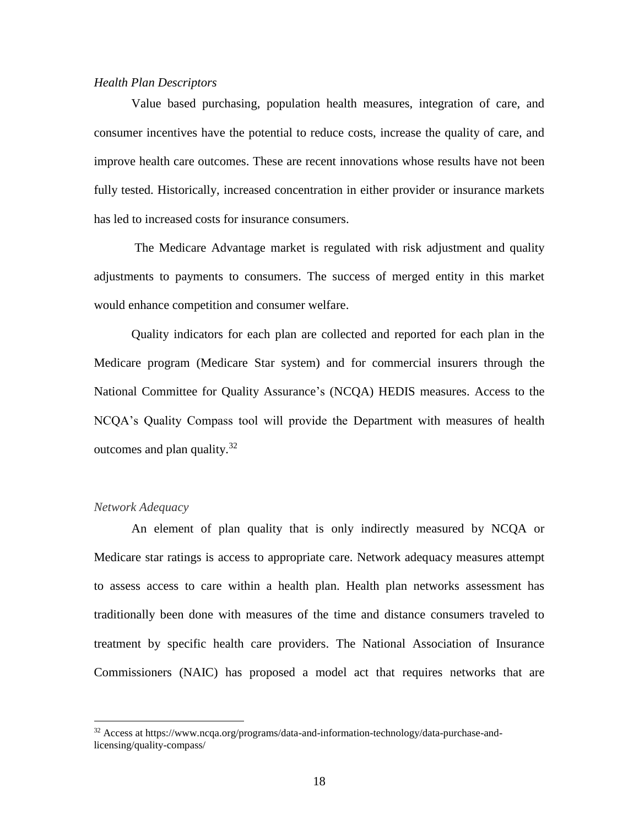#### *Health Plan Descriptors*

Value based purchasing, population health measures, integration of care, and consumer incentives have the potential to reduce costs, increase the quality of care, and improve health care outcomes. These are recent innovations whose results have not been fully tested. Historically, increased concentration in either provider or insurance markets has led to increased costs for insurance consumers.

The Medicare Advantage market is regulated with risk adjustment and quality adjustments to payments to consumers. The success of merged entity in this market would enhance competition and consumer welfare.

Quality indicators for each plan are collected and reported for each plan in the Medicare program (Medicare Star system) and for commercial insurers through the National Committee for Quality Assurance's (NCQA) HEDIS measures. Access to the NCQA's Quality Compass tool will provide the Department with measures of health outcomes and plan quality. $32$ 

#### *Network Adequacy*

 $\overline{a}$ 

An element of plan quality that is only indirectly measured by NCQA or Medicare star ratings is access to appropriate care. Network adequacy measures attempt to assess access to care within a health plan. Health plan networks assessment has traditionally been done with measures of the time and distance consumers traveled to treatment by specific health care providers. The National Association of Insurance Commissioners (NAIC) has proposed a model act that requires networks that are

<sup>32</sup> Access at https://www.ncqa.org/programs/data-and-information-technology/data-purchase-andlicensing/quality-compass/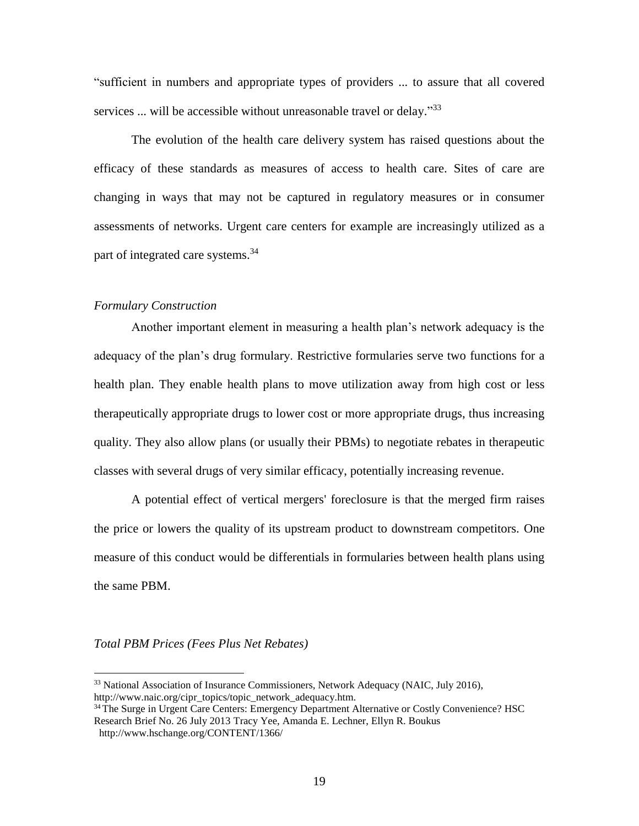"sufficient in numbers and appropriate types of providers ... to assure that all covered services ... will be accessible without unreasonable travel or delay."<sup>33</sup>

The evolution of the health care delivery system has raised questions about the efficacy of these standards as measures of access to health care. Sites of care are changing in ways that may not be captured in regulatory measures or in consumer assessments of networks. Urgent care centers for example are increasingly utilized as a part of integrated care systems.<sup>34</sup>

#### *Formulary Construction*

Another important element in measuring a health plan's network adequacy is the adequacy of the plan's drug formulary. Restrictive formularies serve two functions for a health plan. They enable health plans to move utilization away from high cost or less therapeutically appropriate drugs to lower cost or more appropriate drugs, thus increasing quality. They also allow plans (or usually their PBMs) to negotiate rebates in therapeutic classes with several drugs of very similar efficacy, potentially increasing revenue.

A potential effect of vertical mergers' foreclosure is that the merged firm raises the price or lowers the quality of its upstream product to downstream competitors. One measure of this conduct would be differentials in formularies between health plans using the same PBM.

#### *Total PBM Prices (Fees Plus Net Rebates)*

<sup>&</sup>lt;sup>33</sup> National Association of Insurance Commissioners, Network Adequacy (NAIC, July 2016), http://www.naic.org/cipr\_topics/topic\_network\_adequacy.htm.

<sup>&</sup>lt;sup>34</sup> The Surge in Urgent Care Centers: Emergency Department Alternative or Costly Convenience? HSC Research Brief No. 26 July 2013 Tracy Yee, Amanda E. Lechner, Ellyn R. Boukus <http://www.hschange.org/CONTENT/1366/>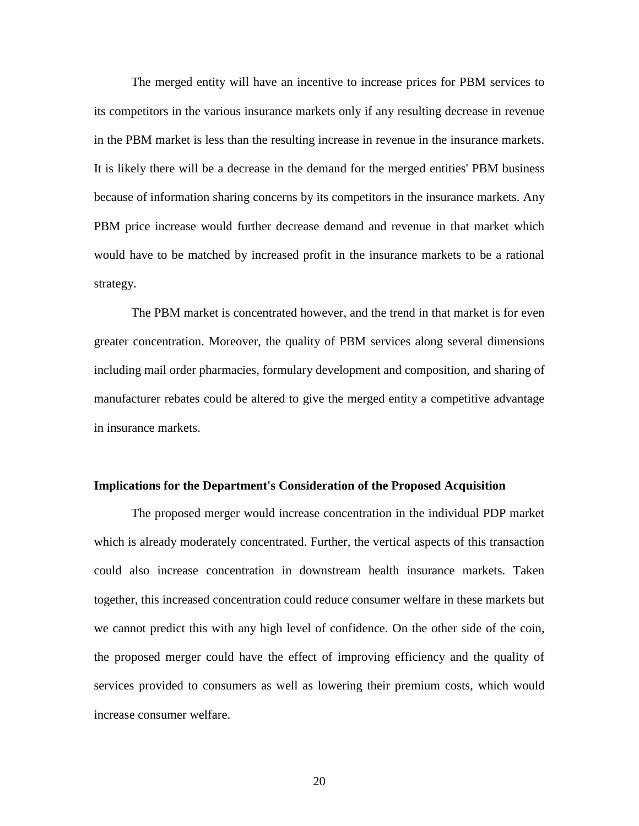The merged entity will have an incentive to increase prices for PBM services to its competitors in the various insurance markets only if any resulting decrease in revenue in the PBM market is less than the resulting increase in revenue in the insurance markets. It is likely there will be a decrease in the demand for the merged entities' PBM business because of information sharing concerns by its competitors in the insurance markets. Any PBM price increase would further decrease demand and revenue in that market which would have to be matched by increased profit in the insurance markets to be a rational strategy.

The PBM market is concentrated however, and the trend in that market is for even greater concentration. Moreover, the quality of PBM services along several dimensions including mail order pharmacies, formulary development and composition, and sharing of manufacturer rebates could be altered to give the merged entity a competitive advantage in insurance markets.

#### **Implications for the Department's Consideration of the Proposed Acquisition**

The proposed merger would increase concentration in the individual PDP market which is already moderately concentrated. Further, the vertical aspects of this transaction could also increase concentration in downstream health insurance markets. Taken together, this increased concentration could reduce consumer welfare in these markets but we cannot predict this with any high level of confidence. On the other side of the coin, the proposed merger could have the effect of improving efficiency and the quality of services provided to consumers as well as lowering their premium costs, which would increase consumer welfare.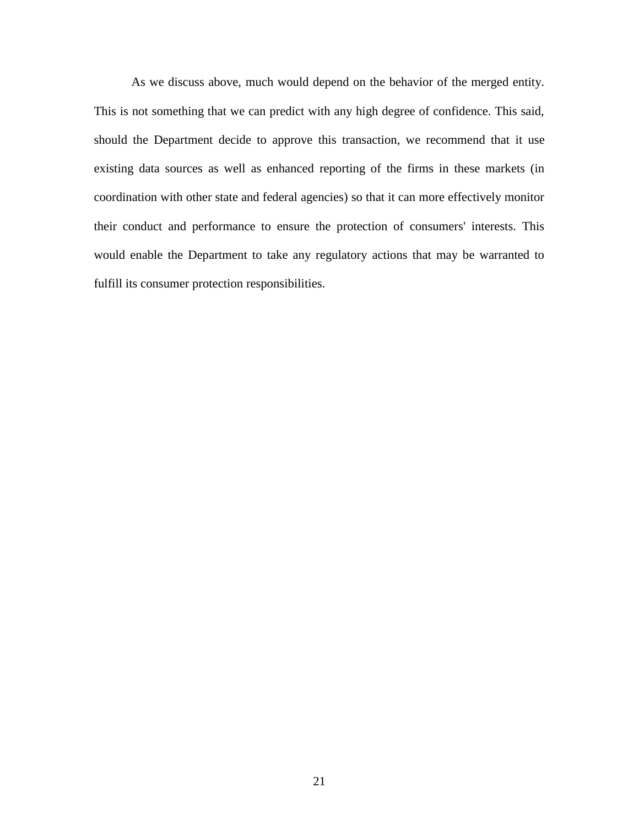As we discuss above, much would depend on the behavior of the merged entity. This is not something that we can predict with any high degree of confidence. This said, should the Department decide to approve this transaction, we recommend that it use existing data sources as well as enhanced reporting of the firms in these markets (in coordination with other state and federal agencies) so that it can more effectively monitor their conduct and performance to ensure the protection of consumers' interests. This would enable the Department to take any regulatory actions that may be warranted to fulfill its consumer protection responsibilities.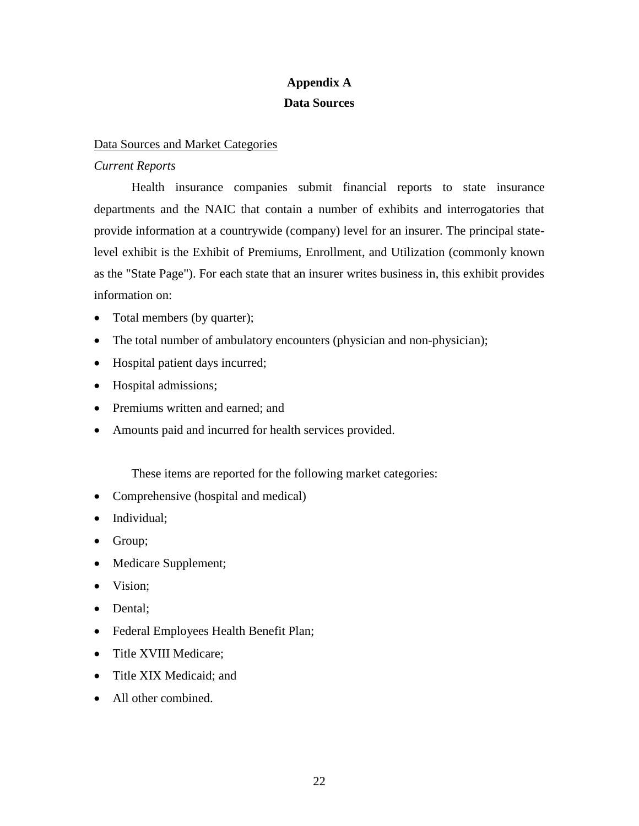# **Appendix A Data Sources**

# Data Sources and Market Categories

# *Current Reports*

Health insurance companies submit financial reports to state insurance departments and the NAIC that contain a number of exhibits and interrogatories that provide information at a countrywide (company) level for an insurer. The principal statelevel exhibit is the Exhibit of Premiums, Enrollment, and Utilization (commonly known as the "State Page"). For each state that an insurer writes business in, this exhibit provides information on:

- Total members (by quarter);
- The total number of ambulatory encounters (physician and non-physician);
- Hospital patient days incurred;
- Hospital admissions;
- Premiums written and earned; and
- Amounts paid and incurred for health services provided.

These items are reported for the following market categories:

- Comprehensive (hospital and medical)
- Individual;
- Group;
- Medicare Supplement;
- Vision;
- Dental;
- Federal Employees Health Benefit Plan;
- Title XVIII Medicare;
- Title XIX Medicaid; and
- All other combined.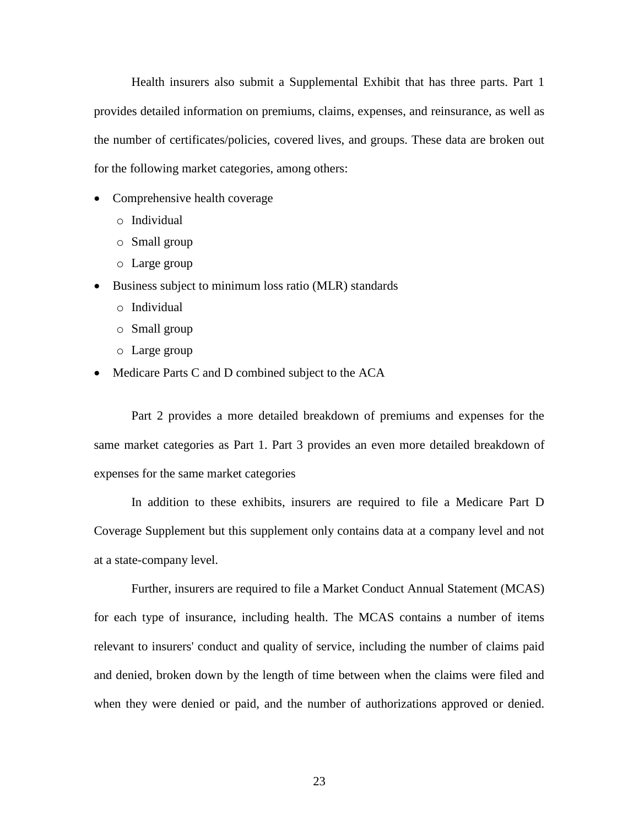Health insurers also submit a Supplemental Exhibit that has three parts. Part 1 provides detailed information on premiums, claims, expenses, and reinsurance, as well as the number of certificates/policies, covered lives, and groups. These data are broken out for the following market categories, among others:

- Comprehensive health coverage
	- o Individual
	- o Small group
	- o Large group
- Business subject to minimum loss ratio (MLR) standards
	- o Individual
	- o Small group
	- o Large group
- Medicare Parts C and D combined subject to the ACA

Part 2 provides a more detailed breakdown of premiums and expenses for the same market categories as Part 1. Part 3 provides an even more detailed breakdown of expenses for the same market categories

In addition to these exhibits, insurers are required to file a Medicare Part D Coverage Supplement but this supplement only contains data at a company level and not at a state-company level.

Further, insurers are required to file a Market Conduct Annual Statement (MCAS) for each type of insurance, including health. The MCAS contains a number of items relevant to insurers' conduct and quality of service, including the number of claims paid and denied, broken down by the length of time between when the claims were filed and when they were denied or paid, and the number of authorizations approved or denied.